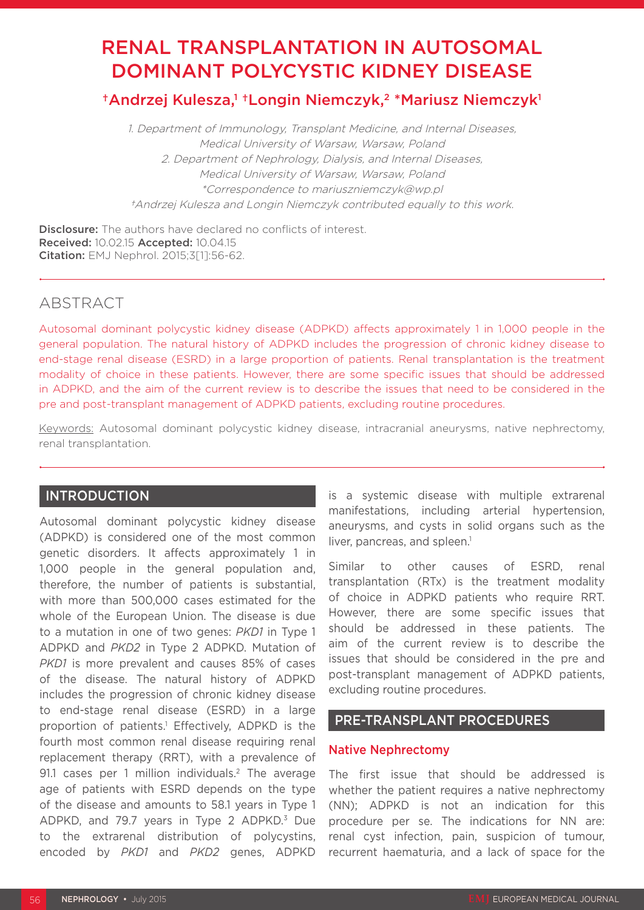# RENAL TRANSPLANTATION IN AUTOSOMAL DOMINANT POLYCYSTIC KIDNEY DISEASE

†Andrzej Kulesza,<sup>1 †</sup>Longin Niemczyk,<sup>2</sup> \*Mariusz Niemczyk<sup>1</sup>

1. Department of Immunology, Transplant Medicine, and Internal Diseases, Medical University of Warsaw, Warsaw, Poland 2. Department of Nephrology, Dialysis, and Internal Diseases, Medical University of Warsaw, Warsaw, Poland \*Correspondence to mariuszniemczyk@wp.pl †Andrzej Kulesza and Longin Niemczyk contributed equally to this work.

Disclosure: The authors have declared no conflicts of interest. Received: 10.02.15 Accepted: 10.04.15 Citation: EMJ Nephrol. 2015;3[1]:56-62.

# ABSTRACT

Autosomal dominant polycystic kidney disease (ADPKD) affects approximately 1 in 1,000 people in the general population. The natural history of ADPKD includes the progression of chronic kidney disease to end-stage renal disease (ESRD) in a large proportion of patients. Renal transplantation is the treatment modality of choice in these patients. However, there are some specific issues that should be addressed in ADPKD, and the aim of the current review is to describe the issues that need to be considered in the pre and post-transplant management of ADPKD patients, excluding routine procedures.

Keywords: Autosomal dominant polycystic kidney disease, intracranial aneurysms, native nephrectomy, renal transplantation.

# INTRODUCTION

Autosomal dominant polycystic kidney disease (ADPKD) is considered one of the most common genetic disorders. It affects approximately 1 in 1,000 people in the general population and, therefore, the number of patients is substantial, with more than 500,000 cases estimated for the whole of the European Union. The disease is due to a mutation in one of two genes: *PKD1* in Type 1 ADPKD and *PKD2* in Type 2 ADPKD. Mutation of *PKD1* is more prevalent and causes 85% of cases of the disease. The natural history of ADPKD includes the progression of chronic kidney disease to end-stage renal disease (ESRD) in a large proportion of patients.1 Effectively, ADPKD is the fourth most common renal disease requiring renal replacement therapy (RRT), with a prevalence of 91.1 cases per 1 million individuals.<sup>2</sup> The average age of patients with ESRD depends on the type of the disease and amounts to 58.1 years in Type 1 ADPKD, and 79.7 years in Type 2 ADPKD.<sup>3</sup> Due to the extrarenal distribution of polycystins, encoded by *PKD1* and *PKD2* genes, ADPKD is a systemic disease with multiple extrarenal manifestations, including arterial hypertension, aneurysms, and cysts in solid organs such as the liver, pancreas, and spleen.<sup>1</sup>

Similar to other causes of ESRD, renal transplantation (RTx) is the treatment modality of choice in ADPKD patients who require RRT. However, there are some specific issues that should be addressed in these patients. The aim of the current review is to describe the issues that should be considered in the pre and post-transplant management of ADPKD patients, excluding routine procedures.

# PRE-TRANSPLANT PROCEDURES

# Native Nephrectomy

The first issue that should be addressed is whether the patient requires a native nephrectomy (NN); ADPKD is not an indication for this procedure per se. The indications for NN are: renal cyst infection, pain, suspicion of tumour, recurrent haematuria, and a lack of space for the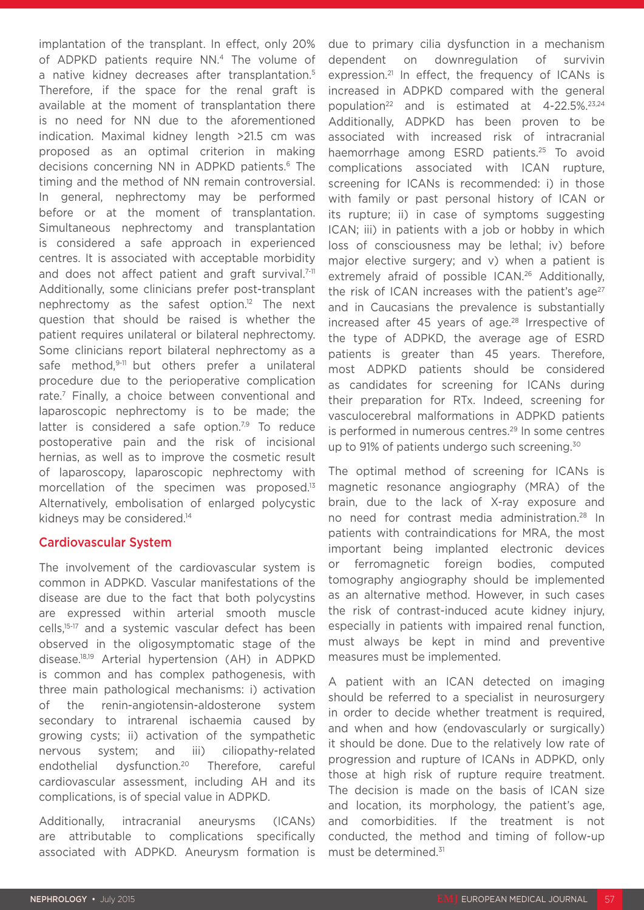implantation of the transplant. In effect, only 20% of ADPKD patients require NN.<sup>4</sup> The volume of a native kidney decreases after transplantation.<sup>5</sup> Therefore, if the space for the renal graft is available at the moment of transplantation there is no need for NN due to the aforementioned indication. Maximal kidney length >21.5 cm was proposed as an optimal criterion in making decisions concerning NN in ADPKD patients.<sup>6</sup> The timing and the method of NN remain controversial. In general, nephrectomy may be performed before or at the moment of transplantation. Simultaneous nephrectomy and transplantation is considered a safe approach in experienced centres. It is associated with acceptable morbidity and does not affect patient and graft survival.<sup>7-11</sup> Additionally, some clinicians prefer post-transplant nephrectomy as the safest option.12 The next question that should be raised is whether the patient requires unilateral or bilateral nephrectomy. Some clinicians report bilateral nephrectomy as a safe method,<sup>9-11</sup> but others prefer a unilateral procedure due to the perioperative complication rate.7 Finally, a choice between conventional and laparoscopic nephrectomy is to be made; the latter is considered a safe option.<sup>7,9</sup> To reduce postoperative pain and the risk of incisional hernias, as well as to improve the cosmetic result of laparoscopy, laparoscopic nephrectomy with morcellation of the specimen was proposed.<sup>13</sup> Alternatively, embolisation of enlarged polycystic kidneys may be considered.<sup>14</sup>

# Cardiovascular System

The involvement of the cardiovascular system is common in ADPKD. Vascular manifestations of the disease are due to the fact that both polycystins are expressed within arterial smooth muscle cells,15-17 and a systemic vascular defect has been observed in the oligosymptomatic stage of the disease.18,19 Arterial hypertension (AH) in ADPKD is common and has complex pathogenesis, with three main pathological mechanisms: i) activation of the renin-angiotensin-aldosterone system secondary to intrarenal ischaemia caused by growing cysts; ii) activation of the sympathetic nervous system; and iii) ciliopathy-related endothelial dysfunction.20 Therefore, careful cardiovascular assessment, including AH and its complications, is of special value in ADPKD.

Additionally, intracranial aneurysms (ICANs) are attributable to complications specifically associated with ADPKD. Aneurysm formation is due to primary cilia dysfunction in a mechanism dependent on downregulation of survivin expression.<sup>21</sup> In effect, the frequency of ICANs is increased in ADPKD compared with the general population<sup>22</sup> and is estimated at 4-22.5%.<sup>23,24</sup> Additionally, ADPKD has been proven to be associated with increased risk of intracranial haemorrhage among ESRD patients.<sup>25</sup> To avoid complications associated with ICAN rupture, screening for ICANs is recommended: i) in those with family or past personal history of ICAN or its rupture; ii) in case of symptoms suggesting ICAN; iii) in patients with a job or hobby in which loss of consciousness may be lethal; iv) before major elective surgery; and v) when a patient is extremely afraid of possible ICAN.<sup>26</sup> Additionally, the risk of ICAN increases with the patient's  $aq e^{27}$ and in Caucasians the prevalence is substantially increased after 45 years of age.<sup>28</sup> Irrespective of the type of ADPKD, the average age of ESRD patients is greater than 45 years. Therefore, most ADPKD patients should be considered as candidates for screening for ICANs during their preparation for RTx. Indeed, screening for vasculocerebral malformations in ADPKD patients is performed in numerous centres.<sup>29</sup> In some centres up to 91% of patients undergo such screening.<sup>30</sup>

The optimal method of screening for ICANs is magnetic resonance angiography (MRA) of the brain, due to the lack of X-ray exposure and no need for contrast media administration.28 In patients with contraindications for MRA, the most important being implanted electronic devices or ferromagnetic foreign bodies, computed tomography angiography should be implemented as an alternative method. However, in such cases the risk of contrast-induced acute kidney injury, especially in patients with impaired renal function, must always be kept in mind and preventive measures must be implemented.

A patient with an ICAN detected on imaging should be referred to a specialist in neurosurgery in order to decide whether treatment is required, and when and how (endovascularly or surgically) it should be done. Due to the relatively low rate of progression and rupture of ICANs in ADPKD, only those at high risk of rupture require treatment. The decision is made on the basis of ICAN size and location, its morphology, the patient's age, and comorbidities. If the treatment is not conducted, the method and timing of follow-up must be determined.31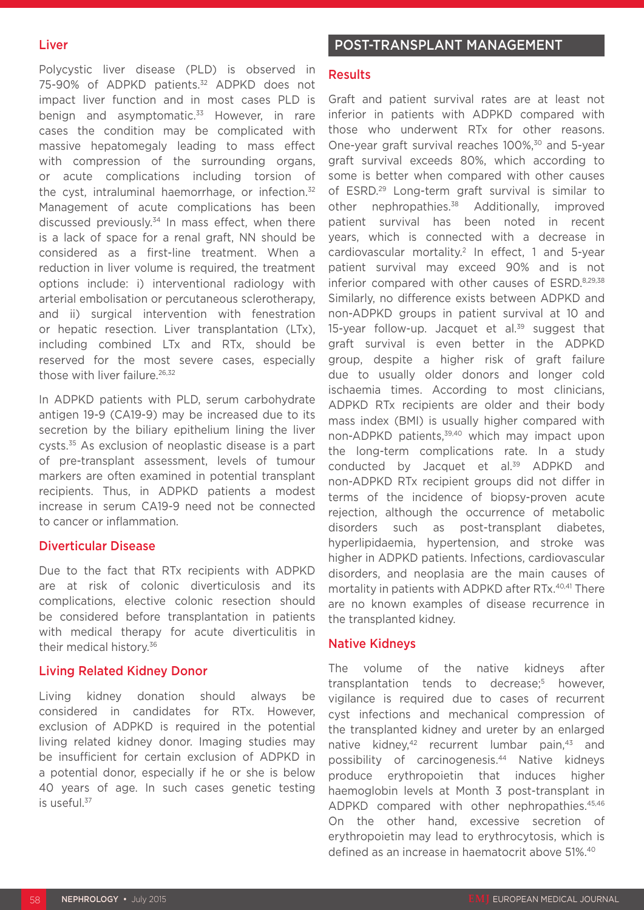# Liver

Polycystic liver disease (PLD) is observed in 75-90% of ADPKD patients.<sup>32</sup> ADPKD does not impact liver function and in most cases PLD is benign and asymptomatic.<sup>33</sup> However, in rare cases the condition may be complicated with massive hepatomegaly leading to mass effect with compression of the surrounding organs, or acute complications including torsion of the cyst, intraluminal haemorrhage, or infection.<sup>32</sup> Management of acute complications has been discussed previously. $34$  In mass effect, when there is a lack of space for a renal graft, NN should be considered as a first-line treatment. When a reduction in liver volume is required, the treatment options include: i) interventional radiology with arterial embolisation or percutaneous sclerotherapy, and ii) surgical intervention with fenestration or hepatic resection. Liver transplantation (LTx), including combined LTx and RTx, should be reserved for the most severe cases, especially those with liver failure.<sup>26,32</sup>

In ADPKD patients with PLD, serum carbohydrate antigen 19-9 (CA19-9) may be increased due to its secretion by the biliary epithelium lining the liver cysts.35 As exclusion of neoplastic disease is a part of pre-transplant assessment, levels of tumour markers are often examined in potential transplant recipients. Thus, in ADPKD patients a modest increase in serum CA19-9 need not be connected to cancer or inflammation.

#### Diverticular Disease

Due to the fact that RTx recipients with ADPKD are at risk of colonic diverticulosis and its complications, elective colonic resection should be considered before transplantation in patients with medical therapy for acute diverticulitis in their medical history.36

# Living Related Kidney Donor

Living kidney donation should always be considered in candidates for RTx. However, exclusion of ADPKD is required in the potential living related kidney donor. Imaging studies may be insufficient for certain exclusion of ADPKD in a potential donor, especially if he or she is below 40 years of age. In such cases genetic testing is useful.<sup>37</sup>

# POST-TRANSPLANT MANAGEMENT

#### **Results**

Graft and patient survival rates are at least not inferior in patients with ADPKD compared with those who underwent RTx for other reasons. One-year graft survival reaches 100%,<sup>30</sup> and 5-year graft survival exceeds 80%, which according to some is better when compared with other causes of ESRD.29 Long-term graft survival is similar to other nephropathies.<sup>38</sup> Additionally, improved patient survival has been noted in recent years, which is connected with a decrease in cardiovascular mortality.<sup>2</sup> In effect, 1 and 5-year patient survival may exceed 90% and is not inferior compared with other causes of ESRD.8,29,38 Similarly, no difference exists between ADPKD and non-ADPKD groups in patient survival at 10 and 15-year follow-up. Jacquet et al.<sup>39</sup> suggest that graft survival is even better in the ADPKD group, despite a higher risk of graft failure due to usually older donors and longer cold ischaemia times. According to most clinicians, ADPKD RTx recipients are older and their body mass index (BMI) is usually higher compared with non-ADPKD patients,<sup>39,40</sup> which may impact upon the long-term complications rate. In a study conducted by Jacquet et al.<sup>39</sup> ADPKD and non-ADPKD RTx recipient groups did not differ in terms of the incidence of biopsy-proven acute rejection, although the occurrence of metabolic disorders such as post-transplant diabetes, hyperlipidaemia, hypertension, and stroke was higher in ADPKD patients. Infections, cardiovascular disorders, and neoplasia are the main causes of mortality in patients with ADPKD after RTx.40,41 There are no known examples of disease recurrence in the transplanted kidney.

# Native Kidneys

The volume of the native kidneys after transplantation tends to decrease;<sup>5</sup> however, vigilance is required due to cases of recurrent cyst infections and mechanical compression of the transplanted kidney and ureter by an enlarged native kidney,<sup>42</sup> recurrent lumbar pain,<sup>43</sup> and possibility of carcinogenesis.44 Native kidneys produce erythropoietin that induces higher haemoglobin levels at Month 3 post-transplant in ADPKD compared with other nephropathies.<sup>45,46</sup> On the other hand, excessive secretion of erythropoietin may lead to erythrocytosis, which is defined as an increase in haematocrit above 51%.40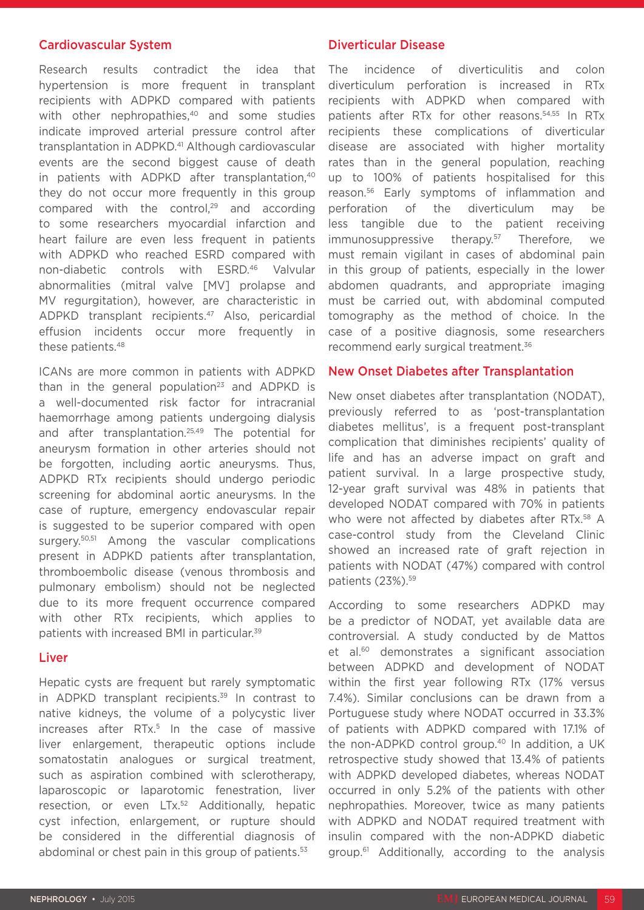#### Cardiovascular System

Research results contradict the idea that hypertension is more frequent in transplant recipients with ADPKD compared with patients with other nephropathies,<sup>40</sup> and some studies indicate improved arterial pressure control after transplantation in ADPKD.41 Although cardiovascular events are the second biggest cause of death in patients with ADPKD after transplantation,<sup>40</sup> they do not occur more frequently in this group compared with the control,<sup>29</sup> and according to some researchers myocardial infarction and heart failure are even less frequent in patients with ADPKD who reached ESRD compared with non-diabetic controls with ESRD.46 Valvular abnormalities (mitral valve [MV] prolapse and MV regurgitation), however, are characteristic in ADPKD transplant recipients.47 Also, pericardial effusion incidents occur more frequently in these patients.48

ICANs are more common in patients with ADPKD than in the general population<sup>23</sup> and ADPKD is a well-documented risk factor for intracranial haemorrhage among patients undergoing dialysis and after transplantation.25,49 The potential for aneurysm formation in other arteries should not be forgotten, including aortic aneurysms. Thus, ADPKD RTx recipients should undergo periodic screening for abdominal aortic aneurysms. In the case of rupture, emergency endovascular repair is suggested to be superior compared with open surgery.50,51 Among the vascular complications present in ADPKD patients after transplantation, thromboembolic disease (venous thrombosis and pulmonary embolism) should not be neglected due to its more frequent occurrence compared with other RTx recipients, which applies to patients with increased BMI in particular.39

#### Liver

Hepatic cysts are frequent but rarely symptomatic in ADPKD transplant recipients. $39$  In contrast to native kidneys, the volume of a polycystic liver increases after RTx.<sup>5</sup> In the case of massive liver enlargement, therapeutic options include somatostatin analogues or surgical treatment, such as aspiration combined with sclerotherapy, laparoscopic or laparotomic fenestration, liver resection, or even LTx.52 Additionally, hepatic cyst infection, enlargement, or rupture should be considered in the differential diagnosis of abdominal or chest pain in this group of patients.<sup>53</sup>

#### Diverticular Disease

The incidence of diverticulitis and colon diverticulum perforation is increased in RTx recipients with ADPKD when compared with patients after RTx for other reasons.54,55 In RTx recipients these complications of diverticular disease are associated with higher mortality rates than in the general population, reaching up to 100% of patients hospitalised for this reason.56 Early symptoms of inflammation and perforation of the diverticulum may be less tangible due to the patient receiving immunosuppressive therapy.<sup>57</sup> Therefore, we must remain vigilant in cases of abdominal pain in this group of patients, especially in the lower abdomen quadrants, and appropriate imaging must be carried out, with abdominal computed tomography as the method of choice. In the case of a positive diagnosis, some researchers recommend early surgical treatment.36

#### New Onset Diabetes after Transplantation

New onset diabetes after transplantation (NODAT), previously referred to as 'post-transplantation diabetes mellitus', is a frequent post-transplant complication that diminishes recipients' quality of life and has an adverse impact on graft and patient survival. In a large prospective study, 12-year graft survival was 48% in patients that developed NODAT compared with 70% in patients who were not affected by diabetes after RTx.<sup>58</sup> A case-control study from the Cleveland Clinic showed an increased rate of graft rejection in patients with NODAT (47%) compared with control patients (23%).<sup>59</sup>

According to some researchers ADPKD may be a predictor of NODAT, yet available data are controversial. A study conducted by de Mattos et al.60 demonstrates a significant association between ADPKD and development of NODAT within the first year following RTx (17% versus 7.4%). Similar conclusions can be drawn from a Portuguese study where NODAT occurred in 33.3% of patients with ADPKD compared with 17.1% of the non-ADPKD control group.40 In addition, a UK retrospective study showed that 13.4% of patients with ADPKD developed diabetes, whereas NODAT occurred in only 5.2% of the patients with other nephropathies. Moreover, twice as many patients with ADPKD and NODAT required treatment with insulin compared with the non-ADPKD diabetic group.61 Additionally, according to the analysis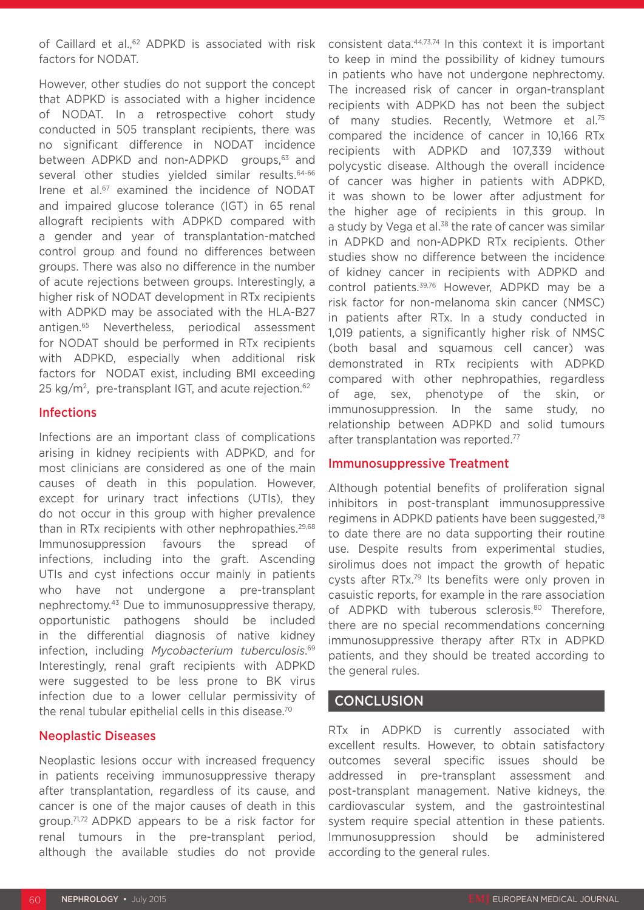of Caillard et al.,<sup>62</sup> ADPKD is associated with risk factors for NODAT.

However, other studies do not support the concept that ADPKD is associated with a higher incidence of NODAT. In a retrospective cohort study conducted in 505 transplant recipients, there was no significant difference in NODAT incidence between ADPKD and non-ADPKD groups,<sup>63</sup> and several other studies vielded similar results.<sup>64-66</sup> Irene et al.<sup>67</sup> examined the incidence of NODAT and impaired glucose tolerance (IGT) in 65 renal allograft recipients with ADPKD compared with a gender and year of transplantation-matched control group and found no differences between groups. There was also no difference in the number of acute rejections between groups. Interestingly, a higher risk of NODAT development in RTx recipients with ADPKD may be associated with the HLA-B27 antigen.65 Nevertheless, periodical assessment for NODAT should be performed in RTx recipients with ADPKD, especially when additional risk factors for NODAT exist, including BMI exceeding 25 kg/m<sup>2</sup>, pre-transplant IGT, and acute rejection.<sup>62</sup>

#### Infections

Infections are an important class of complications arising in kidney recipients with ADPKD, and for most clinicians are considered as one of the main causes of death in this population. However, except for urinary tract infections (UTIs), they do not occur in this group with higher prevalence than in RTx recipients with other nephropathies.<sup>29,68</sup> Immunosuppression favours the spread infections, including into the graft. Ascending UTIs and cyst infections occur mainly in patients who have not undergone a pre-transplant nephrectomy.43 Due to immunosuppressive therapy, opportunistic pathogens should be included in the differential diagnosis of native kidney infection, including *Mycobacterium tuberculosis*. 69 Interestingly, renal graft recipients with ADPKD were suggested to be less prone to BK virus infection due to a lower cellular permissivity of the renal tubular epithelial cells in this disease.70

# Neoplastic Diseases

Neoplastic lesions occur with increased frequency in patients receiving immunosuppressive therapy after transplantation, regardless of its cause, and cancer is one of the major causes of death in this group.71,72 ADPKD appears to be a risk factor for renal tumours in the pre-transplant period, although the available studies do not provide

consistent data.44,73,74 In this context it is important to keep in mind the possibility of kidney tumours in patients who have not undergone nephrectomy. The increased risk of cancer in organ-transplant recipients with ADPKD has not been the subject of many studies. Recently, Wetmore et al.<sup>75</sup> compared the incidence of cancer in 10,166 RTx recipients with ADPKD and 107,339 without polycystic disease. Although the overall incidence of cancer was higher in patients with ADPKD, it was shown to be lower after adjustment for the higher age of recipients in this group. In a study by Vega et al.<sup>38</sup> the rate of cancer was similar in ADPKD and non-ADPKD RTx recipients. Other studies show no difference between the incidence of kidney cancer in recipients with ADPKD and control patients.<sup>39,76</sup> However, ADPKD may be a risk factor for non-melanoma skin cancer (NMSC) in patients after RTx. In a study conducted in 1,019 patients, a significantly higher risk of NMSC (both basal and squamous cell cancer) was demonstrated in RTx recipients with ADPKD compared with other nephropathies, regardless of age, sex, phenotype of the skin, or immunosuppression. In the same study, no relationship between ADPKD and solid tumours after transplantation was reported.77

#### Immunosuppressive Treatment

Although potential benefits of proliferation signal inhibitors in post-transplant immunosuppressive regimens in ADPKD patients have been suggested,78 to date there are no data supporting their routine use. Despite results from experimental studies, sirolimus does not impact the growth of hepatic cysts after RTx.79 Its benefits were only proven in casuistic reports, for example in the rare association of ADPKD with tuberous sclerosis.<sup>80</sup> Therefore, there are no special recommendations concerning immunosuppressive therapy after RTx in ADPKD patients, and they should be treated according to the general rules.

# **CONCLUSION**

RTx in ADPKD is currently associated with excellent results. However, to obtain satisfactory outcomes several specific issues should be addressed in pre-transplant assessment and post-transplant management. Native kidneys, the cardiovascular system, and the gastrointestinal system require special attention in these patients. Immunosuppression should be administered according to the general rules.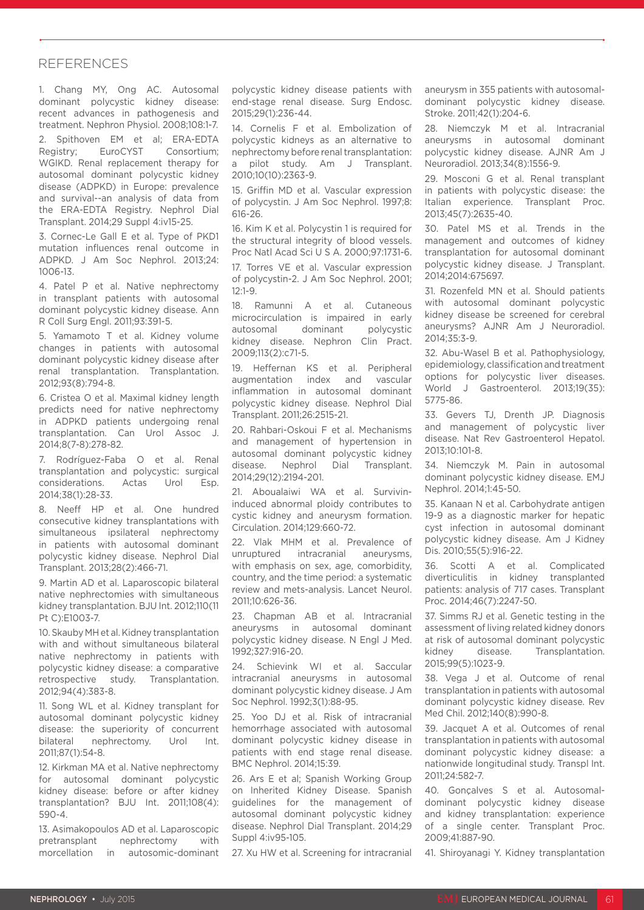#### **REFERENCES**

1. Chang MY, Ong AC. Autosomal dominant polycystic kidney disease: recent advances in pathogenesis and treatment. Nephron Physiol. 2008;108:1-7.

2. Spithoven EM et al; ERA-EDTA Registry; EuroCYST Consortium; WGIKD. Renal replacement therapy for autosomal dominant polycystic kidney disease (ADPKD) in Europe: prevalence and survival--an analysis of data from the ERA-EDTA Registry. Nephrol Dial Transplant. 2014;29 Suppl 4:iv15-25.

3. Cornec-Le Gall E et al. Type of PKD1 mutation influences renal outcome in ADPKD. J Am Soc Nephrol. 2013;24: 1006-13.

4. Patel P et al. Native nephrectomy in transplant patients with autosomal dominant polycystic kidney disease. Ann R Coll Surg Engl. 2011;93:391-5.

5. Yamamoto T et al. Kidney volume changes in patients with autosomal dominant polycystic kidney disease after renal transplantation. Transplantation. 2012;93(8):794-8.

6. Cristea O et al. Maximal kidney length predicts need for native nephrectomy in ADPKD patients undergoing renal transplantation. Can Urol Assoc J. 2014;8(7-8):278-82.

7. Rodríguez-Faba O et al. Renal transplantation and polycystic: surgical considerations. Actas Urol Esp. 2014;38(1):28-33.

Neeff HP et al. One hundred consecutive kidney transplantations with simultaneous ipsilateral nephrectomy in patients with autosomal dominant polycystic kidney disease. Nephrol Dial Transplant. 2013;28(2):466-71.

9. Martin AD et al. Laparoscopic bilateral native nephrectomies with simultaneous kidney transplantation. BJU Int. 2012;110(11 Pt C):E1003-7.

10. Skauby MH et al. Kidney transplantation with and without simultaneous bilateral native nephrectomy in patients with polycystic kidney disease: a comparative retrospective study. Transplantation. 2012;94(4):383-8.

11. Song WL et al. Kidney transplant for autosomal dominant polycystic kidney disease: the superiority of concurrent bilateral nephrectomy. Urol Int. 2011;87(1):54-8.

12. Kirkman MA et al. Native nephrectomy for autosomal dominant polycystic kidney disease: before or after kidney transplantation? BJU Int. 2011;108(4): 590-4.

13. Asimakopoulos AD et al. Laparoscopic pretransplant nephrectomy with morcellation in autosomic-dominant polycystic kidney disease patients with end-stage renal disease. Surg Endosc. 2015;29(1):236-44.

14. Cornelis F et al. Embolization of polycystic kidneys as an alternative to nephrectomy before renal transplantation: a pilot study. Am J Transplant. 2010;10(10):2363-9.

15. Griffin MD et al. Vascular expression of polycystin. J Am Soc Nephrol. 1997;8: 616-26.

16. Kim K et al. Polycystin 1 is required for the structural integrity of blood vessels. Proc Natl Acad Sci U S A. 2000;97:1731-6.

17. Torres VE et al. Vascular expression of polycystin-2. J Am Soc Nephrol. 2001;  $12.1 - 9$ 

18. Ramunni A et al. Cutaneous microcirculation is impaired in early autosomal dominant polycystic kidney disease. Nephron Clin Pract. 2009;113(2):c71-5.

19. Heffernan KS et al. Peripheral augmentation index and vascular inflammation in autosomal dominant polycystic kidney disease. Nephrol Dial Transplant. 2011;26:2515-21.

20. Rahbari-Oskoui F et al. Mechanisms and management of hypertension in autosomal dominant polycystic kidney disease. Nephrol Dial Transplant. 2014;29(12):2194-201.

21. Aboualaiwi WA et al. Survivininduced abnormal ploidy contributes to cystic kidney and aneurysm formation. Circulation. 2014;129:660-72.

22. Vlak MHM et al. Prevalence of unruptured intracranial aneurysms, with emphasis on sex, age, comorbidity, country, and the time period: a systematic review and mets-analysis. Lancet Neurol. 2011;10:626-36.

23. Chapman AB et al. Intracranial aneurysms in autosomal dominant polycystic kidney disease. N Engl J Med. 1992;327:916-20.

24. Schievink WI et al. Saccular intracranial aneurysms in autosomal dominant polycystic kidney disease. J Am Soc Nephrol. 1992;3(1):88-95.

25. Yoo DJ et al. Risk of intracranial hemorrhage associated with autosomal dominant polycystic kidney disease in patients with end stage renal disease. BMC Nephrol. 2014;15:39.

26. Ars E et al; Spanish Working Group on Inherited Kidney Disease. Spanish guidelines for the management of autosomal dominant polycystic kidney disease. Nephrol Dial Transplant. 2014;29 Suppl 4:iv95-105.

27. Xu HW et al. Screening for intracranial

aneurysm in 355 patients with autosomaldominant polycystic kidney disease. Stroke. 2011;42(1):204-6.

28. Niemczyk M et al. Intracranial aneurysms in autosomal dominant polycystic kidney disease. AJNR Am J Neuroradiol. 2013;34(8):1556-9.

29. Mosconi G et al. Renal transplant in patients with polycystic disease: the Italian experience. Transplant Proc. 2013;45(7):2635-40.

30. Patel MS et al. Trends in the management and outcomes of kidney transplantation for autosomal dominant polycystic kidney disease. J Transplant. 2014;2014:675697.

31. Rozenfeld MN et al. Should patients with autosomal dominant polycystic kidney disease be screened for cerebral aneurysms? AJNR Am J Neuroradiol. 2014;35:3-9.

32. Abu-Wasel B et al. Pathophysiology, epidemiology, classification and treatment options for polycystic liver diseases. World J Gastroenterol. 2013;19(35): 5775-86.

33. Gevers TJ, Drenth JP. Diagnosis and management of polycystic liver disease. Nat Rev Gastroenterol Hepatol. 2013;10:101-8.

34. Niemczyk M. Pain in autosomal dominant polycystic kidney disease. EMJ Nephrol. 2014;1:45-50.

35. Kanaan N et al. Carbohydrate antigen 19-9 as a diagnostic marker for hepatic cyst infection in autosomal dominant polycystic kidney disease. Am J Kidney Dis. 2010;55(5):916-22.

36. Scotti A et al. Complicated diverticulitis in kidney transplanted patients: analysis of 717 cases. Transplant Proc. 2014;46(7):2247-50.

37. Simms RJ et al. Genetic testing in the assessment of living related kidney donors at risk of autosomal dominant polycystic kidney disease. Transplantation. 2015;99(5):1023-9.

38. Vega J et al. Outcome of renal transplantation in patients with autosomal dominant polycystic kidney disease. Rev Med Chil. 2012;140(8):990-8.

39. Jacquet A et al. Outcomes of renal transplantation in patients with autosomal dominant polycystic kidney disease: a nationwide longitudinal study. Transpl Int. 2011;24:582-7.

40. Gonçalves S et al. Autosomaldominant polycystic kidney disease and kidney transplantation: experience of a single center. Transplant Proc. 2009;41:887-90.

41. Shiroyanagi Y. Kidney transplantation